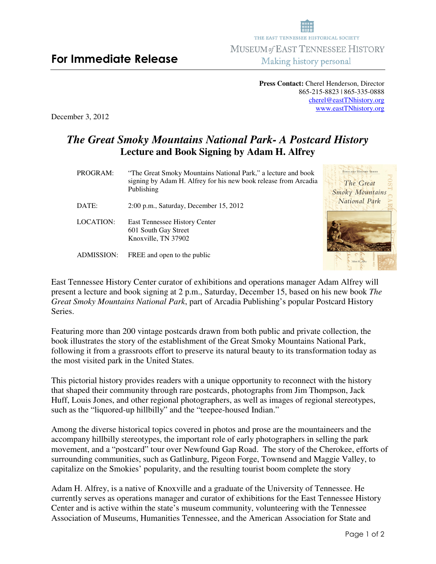**Press Contact:** Cherel Henderson, Director 865-215-8823 | 865-335-0888 cherel@eastTNhistory.org www.eastTNhistory.org

December 3, 2012

## *The Great Smoky Mountains National Park- A Postcard History* **Lecture and Book Signing by Adam H. Alfrey**

POSTCARD HISTORY SERIES PROGRAM:"The Great Smoky Mountains National Park," a lecture and book signing by Adam H. Alfrey for his new book release from Arcadia The Great Publishing Smoky Mountains National Park DATE: 2:00 p.m., Saturday, December 15, 2012 LOCATION: East Tennessee History Center 601 South Gay Street Knoxville, TN 37902 ADMISSION: FREE and open to the public

East Tennessee History Center curator of exhibitions and operations manager Adam Alfrey will present a lecture and book signing at 2 p.m., Saturday, December 15, based on his new book *The Great Smoky Mountains National Park*, part of Arcadia Publishing's popular Postcard History Series.

Featuring more than 200 vintage postcards drawn from both public and private collection, the book illustrates the story of the establishment of the Great Smoky Mountains National Park, following it from a grassroots effort to preserve its natural beauty to its transformation today as the most visited park in the United States.

This pictorial history provides readers with a unique opportunity to reconnect with the history that shaped their community through rare postcards, photographs from Jim Thompson, Jack Huff, Louis Jones, and other regional photographers, as well as images of regional stereotypes, such as the "liquored-up hillbilly" and the "teepee-housed Indian."

Among the diverse historical topics covered in photos and prose are the mountaineers and the accompany hillbilly stereotypes, the important role of early photographers in selling the park movement, and a "postcard" tour over Newfound Gap Road. The story of the Cherokee, efforts of surrounding communities, such as Gatlinburg, Pigeon Forge, Townsend and Maggie Valley, to capitalize on the Smokies' popularity, and the resulting tourist boom complete the story

Adam H. Alfrey, is a native of Knoxville and a graduate of the University of Tennessee. He currently serves as operations manager and curator of exhibitions for the East Tennessee History Center and is active within the state's museum community, volunteering with the Tennessee Association of Museums, Humanities Tennessee, and the American Association for State and